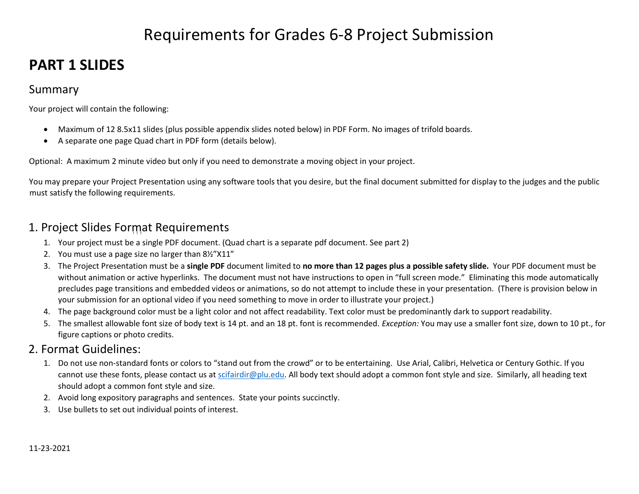# Requirements for Grades 6-8 Project Submission

# **PART 1 SLIDES**

# Summary

Your project will contain the following:

- Maximum of 12 8.5x11 slides (plus possible appendix slides noted below) in PDF Form. No images of trifold boards.
- A separate one page Quad chart in PDF form (details below).

Optional: A maximum 2 minute video but only if you need to demonstrate a moving object in your project.

You may prepare your Project Presentation using any software tools that you desire, but the final document submitted for display to the judges and the public must satisfy the following requirements.

# 1. Project Slides Format Requirements

- 1. Your project must be a single PDF document. (Quad chart is a separate pdf document. See part 2)
- 2. You must use a page size no larger than 8½"X11"
- 3. The Project Presentation must be a **single PDF** document limited to **no more than 12 pages plus a possible safety slide.** Your PDF document must be without animation or active hyperlinks. The document must not have instructions to open in "full screen mode." Eliminating this mode automatically precludes page transitions and embedded videos or animations, so do not attempt to include these in your presentation. (There is provision below in your submission for an optional video if you need something to move in order to illustrate your project.)
- 4. The page background color must be a light color and not affect readability. Text color must be predominantly dark to support readability.
- 5. The smallest allowable font size of body text is 14 pt. and an 18 pt. font is recommended. *Exception:* You may use a smaller font size, down to 10 pt., for figure captions or photo credits.

# 2. Format Guidelines:

- 1. Do not use non-standard fonts or colors to "stand out from the crowd" or to be entertaining. Use Arial, Calibri, Helvetica or Century Gothic. If you cannot use these fonts, please contact us at [scifairdir@plu.edu.](mailto:scifairdir@plu.edu) All body text should adopt a common font style and size. Similarly, all heading text should adopt a common font style and size.
- 2. Avoid long expository paragraphs and sentences. State your points succinctly.
- 3. Use bullets to set out individual points of interest.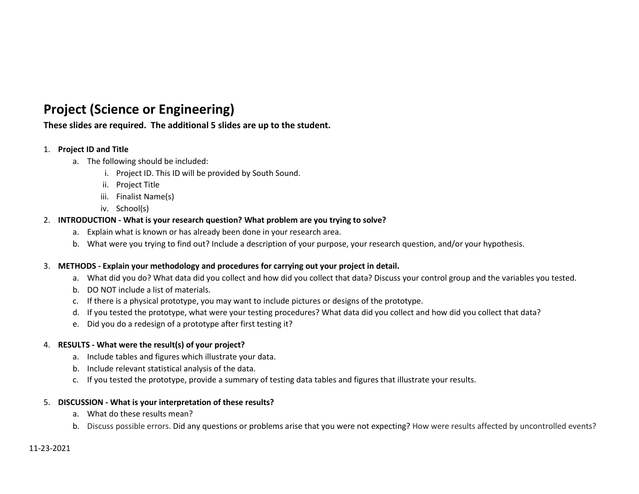# **Project (Science or Engineering)**

### **These slides are required. The additional 5 slides are up to the student.**

#### 1. **Project ID and Title**

- a. The following should be included:
	- i. Project ID. This ID will be provided by South Sound.
	- ii. Project Title
	- iii. Finalist Name(s)
	- iv. School(s)

#### 2. **INTRODUCTION - What is your research question? What problem are you trying to solve?**

- a. Explain what is known or has already been done in your research area.
- b. What were you trying to find out? Include a description of your purpose, your research question, and/or your hypothesis.

#### 3. **METHODS - Explain your methodology and procedures for carrying out your project in detail.**

- a. What did you do? What data did you collect and how did you collect that data? Discuss your control group and the variables you tested.
- b. DO NOT include a list of materials.
- c. If there is a physical prototype, you may want to include pictures or designs of the prototype.
- d. If you tested the prototype, what were your testing procedures? What data did you collect and how did you collect that data?
- e. Did you do a redesign of a prototype after first testing it?

#### 4. **RESULTS - What were the result(s) of your project?**

- a. Include tables and figures which illustrate your data.
- b. Include relevant statistical analysis of the data.
- c. If you tested the prototype, provide a summary of testing data tables and figures that illustrate your results.

#### 5. **DISCUSSION - What is your interpretation of these results?**

- a. What do these results mean?
- b. Discuss possible errors. Did any questions or problems arise that you were not expecting? How were results affected by uncontrolled events?

#### 11-23-2021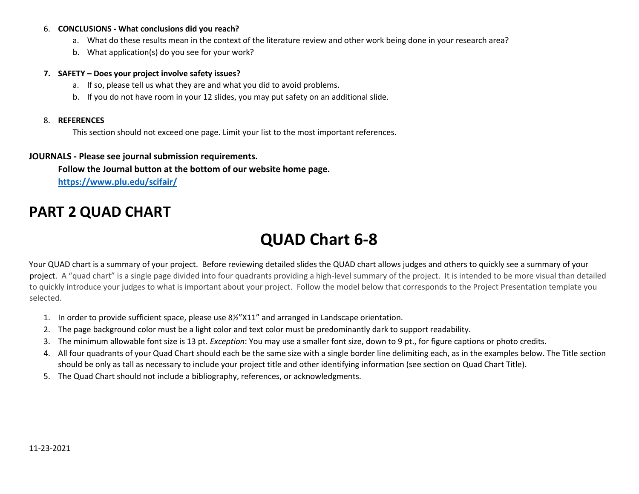#### 6. **CONCLUSIONS - What conclusions did you reach?**

- a. What do these results mean in the context of the literature review and other work being done in your research area?
- b. What application(s) do you see for your work?

#### **7. SAFETY – Does your project involve safety issues?**

- a. If so, please tell us what they are and what you did to avoid problems.
- b. If you do not have room in your 12 slides, you may put safety on an additional slide.

#### 8. **REFERENCES**

This section should not exceed one page. Limit your list to the most important references.

#### **JOURNALS - Please see journal submission requirements.**

**Follow the Journal button at the bottom of our website home page.**

**<https://www.plu.edu/scifair/>**

# **PART 2 QUAD CHART**

# **QUAD Chart 6-8**

Your QUAD chart is a summary of your project. Before reviewing detailed slides the QUAD chart allows judges and others to quickly see a summary of your project. A "quad chart" is a single page divided into four quadrants providing a high-level summary of the project. It is intended to be more visual than detailed to quickly introduce your judges to what is important about your project. Follow the model below that corresponds to the Project Presentation template you selected.

- 1. In order to provide sufficient space, please use 8½"X11" and arranged in Landscape orientation.
- 2. The page background color must be a light color and text color must be predominantly dark to support readability.
- 3. The minimum allowable font size is 13 pt. *Exception*: You may use a smaller font size, down to 9 pt., for figure captions or photo credits.
- 4. All four quadrants of your Quad Chart should each be the same size with a single border line delimiting each, as in the examples below. The Title section should be only as tall as necessary to include your project title and other identifying information (see section on Quad Chart Title).
- 5. The Quad Chart should not include a bibliography, references, or acknowledgments.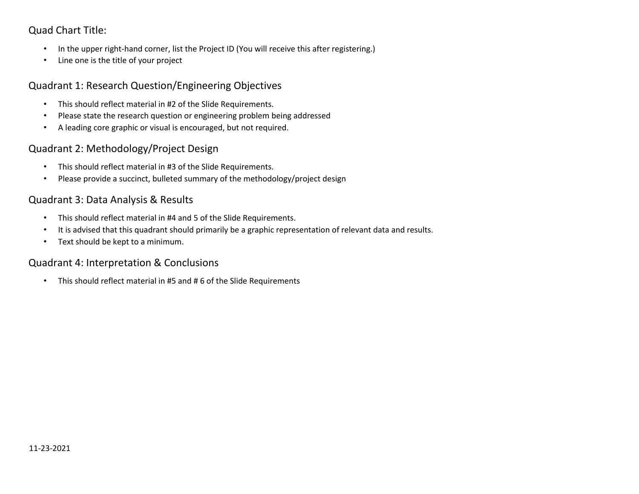## Quad Chart Title:

- In the upper right-hand corner, list the Project ID (You will receive this after registering.)
- Line one is the title of your project

### Quadrant 1: Research Question/Engineering Objectives

- This should reflect material in #2 of the Slide Requirements.
- Please state the research question or engineering problem being addressed
- A leading core graphic or visual is encouraged, but not required.

# Quadrant 2: Methodology/Project Design

- This should reflect material in #3 of the Slide Requirements.
- Please provide a succinct, bulleted summary of the methodology/project design

## Quadrant 3: Data Analysis & Results

- This should reflect material in #4 and 5 of the Slide Requirements.
- It is advised that this quadrant should primarily be a graphic representation of relevant data and results.
- Text should be kept to a minimum.

### Quadrant 4: Interpretation & Conclusions

• This should reflect material in #5 and # 6 of the Slide Requirements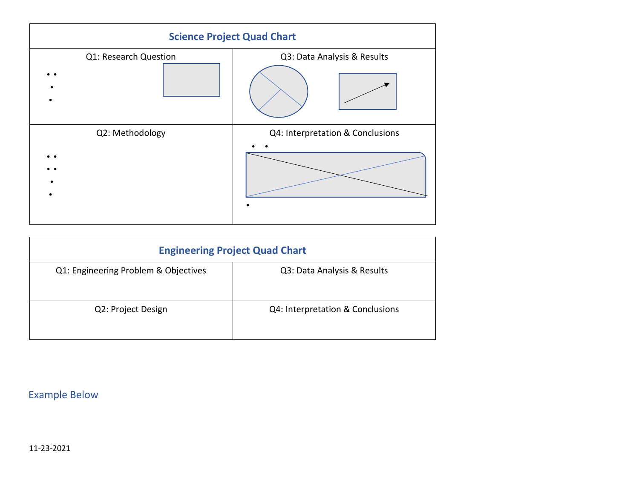

| <b>Engineering Project Quad Chart</b> |                                  |  |
|---------------------------------------|----------------------------------|--|
| Q1: Engineering Problem & Objectives  | Q3: Data Analysis & Results      |  |
| Q2: Project Design                    | Q4: Interpretation & Conclusions |  |

Example Below

11-23-2021